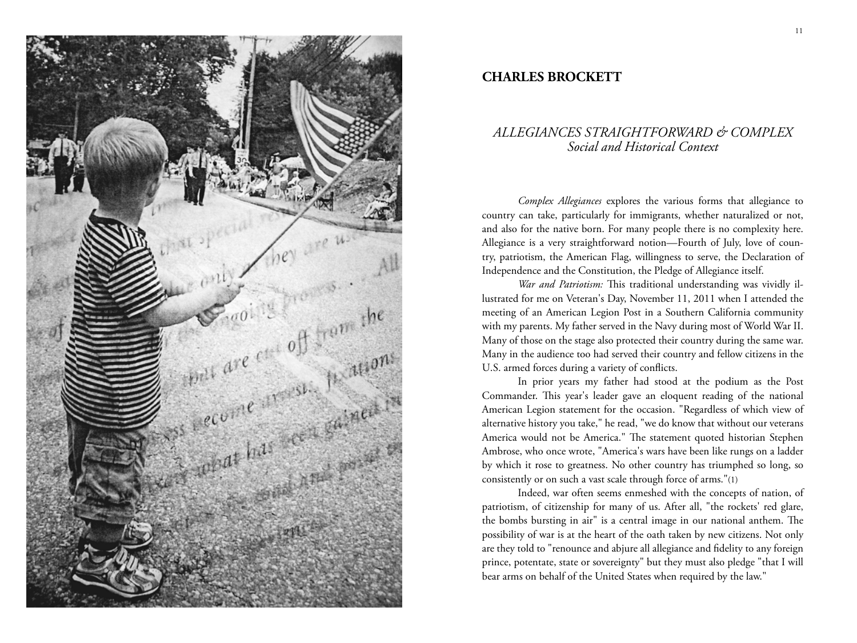

## **CHARLES BROCKETT**

## *ALLEGIANCES STRAIGHTFORWARD & COMPLEX Social and Historical Context*

*Complex Allegiances* explores the various forms that allegiance to country can take, particularly for immigrants, whether naturalized or not, and also for the native born. For many people there is no complexity here. Allegiance is a very straightforward notion—Fourth of July, love of country, patriotism, the American Flag, willingness to serve, the Declaration of Independence and the Constitution, the Pledge of Allegiance itself.

*War and Patriotism:* This traditional understanding was vividly illustrated for me on Veteran's Day, November 11, 2011 when I attended the meeting of an American Legion Post in a Southern California community with my parents. My father served in the Navy during most of World War II. Many of those on the stage also protected their country during the same war. Many in the audience too had served their country and fellow citizens in the U.S. armed forces during a variety of conflicts.

In prior years my father had stood at the podium as the Post Commander. This year's leader gave an eloquent reading of the national American Legion statement for the occasion. "Regardless of which view of alternative history you take," he read, "we do know that without our veterans America would not be America." The statement quoted historian Stephen Ambrose, who once wrote, "America's wars have been like rungs on a ladder by which it rose to greatness. No other country has triumphed so long, so consistently or on such a vast scale through force of arms."(1)

Indeed, war often seems enmeshed with the concepts of nation, of patriotism, of citizenship for many of us. After all, "the rockets' red glare, the bombs bursting in air" is a central image in our national anthem. The possibility of war is at the heart of the oath taken by new citizens. Not only are they told to "renounce and abjure all allegiance and fidelity to any foreign prince, potentate, state or sovereignty" but they must also pledge "that I will bear arms on behalf of the United States when required by the law."